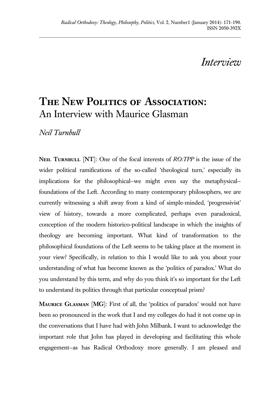## *Interview*

## **The New Politics of Association:** An Interview with Maurice Glasman

*Neil Turnbull*

**Neil Turnbull** [**NT**]: One of the focal interests of *RO:TPP* is the issue of the wider political ramifications of the so-called 'theological turn,' especially its implications for the philosophical—we might even say the metaphysical foundations of the Left. According to many contemporary philosophers, we are currently witnessing a shift away from a kind of simple-minded, 'progressivist' view of history, towards a more complicated, perhaps even paradoxical, conception of the modern historico-political landscape in which the insights of theology are becoming important. What kind of transformation to the philosophical foundations of the Left seems to be taking place at the moment in your view? Specifically, in relation to this I would like to ask you about your understanding of what has become known as the 'politics of paradox.' What do you understand by this term, and why do you think it's so important for the Left to understand its politics through that particular conceptual prism?

**Maurice Glasman** [**MG**]: First of all, the 'politics of paradox' would not have been so pronounced in the work that I and my colleges do had it not come up in the conversations that I have had with John Milbank. I want to acknowledge the important role that John has played in developing and facilitating this whole engagement—as has Radical Orthodoxy more generally. I am pleased and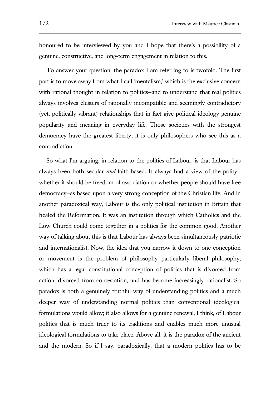honoured to be interviewed by you and I hope that there's a possibility of a genuine, constructive, and long-term engagement in relation to this.

To answer your question, the paradox I am referring to is twofold. The first part is to move away from what I call 'mentalism,' which is the exclusive concern with rational thought in relation to politics-and to understand that real politics always involves clusters of rationally incompatible and seemingly contradictory (yet, politically vibrant) relationships that in fact give political ideology genuine popularity and meaning in everyday life. Those societies with the strongest democracy have the greatest liberty; it is only philosophers who see this as a contradiction.

So what I'm arguing, in relation to the politics of Labour, is that Labour has always been both secular *and* faith-based. It always had a view of the polity whether it should be freedom of association or whether people should have free democracy—as based upon a very strong conception of the Christian life. And in another paradoxical way, Labour is the only political institution in Britain that healed the Reformation. It was an institution through which Catholics and the Low Church could come together in a politics for the common good. Another way of talking about this is that Labour has always been simultaneously patriotic and internationalist. Now, the idea that you narrow it down to one conception or movement is the problem of philosophy—particularly liberal philosophy, which has a legal constitutional conception of politics that is divorced from action, divorced from contestation, and has become increasingly rationalist. So paradox is both a genuinely truthful way of understanding politics and a much deeper way of understanding normal politics than conventional ideological formulations would allow; it also allows for a genuine renewal, I think, of Labour politics that is much truer to its traditions and enables much more unusual ideological formulations to take place. Above all, it is the paradox of the ancient and the modern. So if I say, paradoxically, that a modern politics has to be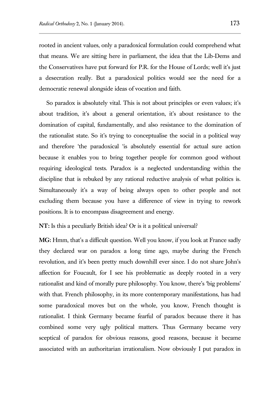rooted in ancient values, only a paradoxical formulation could comprehend what that means. We are sitting here in parliament, the idea that the Lib-Dems and the Conservatives have put forward for P.R. for the House of Lords; well it's just a desecration really. But a paradoxical politics would see the need for a democratic renewal alongside ideas of vocation and faith.

So paradox is absolutely vital. This is not about principles or even values; it's about tradition, it's about a general orientation, it's about resistance to the domination of capital, fundamentally, and also resistance to the domination of the rationalist state. So it's trying to conceptualise the social in a political way and therefore 'the paradoxical 'is absolutely essential for actual sure action because it enables you to bring together people for common good without requiring ideological tests. Paradox is a neglected understanding within the discipline that is rebuked by any rational reductive analysis of what politics is. Simultaneously it's a way of being always open to other people and not excluding them because you have a difference of view in trying to rework positions. It is to encompass disagreement and energy.

**NT:** Is this a peculiarly British idea? Or is it a political universal?

**MG:** Hmm, that's a difficult question. Well you know, if you look at France sadly they declared war on paradox a long time ago, maybe during the French revolution, and it's been pretty much downhill ever since. I do not share John's affection for Foucault, for I see his problematic as deeply rooted in a very rationalist and kind of morally pure philosophy. You know, there's 'big problems' with that. French philosophy, in its more contemporary manifestations, has had some paradoxical moves but on the whole, you know, French thought is rationalist. I think Germany became fearful of paradox because there it has combined some very ugly political matters. Thus Germany became very sceptical of paradox for obvious reasons, good reasons, because it became associated with an authoritarian irrationalism. Now obviously I put paradox in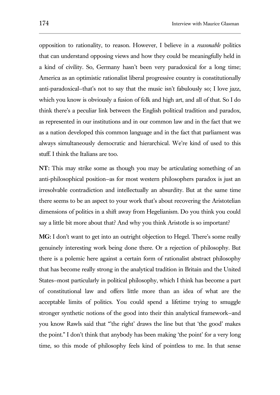opposition to rationality, to reason. However, I believe in a *reasonable* politics that can understand opposing views and how they could be meaningfully held in a kind of civility. So, Germany hasn't been very paradoxical for a long time; America as an optimistic rationalist liberal progressive country is constitutionally anti-paradoxical—that's not to say that the music isn't fabulously so; I love jazz, which you know is obviously a fusion of folk and high art, and all of that. So I do think there's a peculiar link between the English political tradition and paradox, as represented in our institutions and in our common law and in the fact that we as a nation developed this common language and in the fact that parliament was always simultaneously democratic and hierarchical. We're kind of used to this stuff. I think the Italians are too.

**NT:** This may strike some as though you may be articulating something of an anti-philosophical position—as for most western philosophers paradox is just an irresolvable contradiction and intellectually an absurdity. But at the same time there seems to be an aspect to your work that's about recovering the Aristotelian dimensions of politics in a shift away from Hegelianism. Do you think you could say a little bit more about that? And why you think Aristotle is so important?

**MG:** I don't want to get into an outright objection to Hegel. There's some really genuinely interesting work being done there. Or a rejection of philosophy. But there is a polemic here against a certain form of rationalist abstract philosophy that has become really strong in the analytical tradition in Britain and the United States—most particularly in political philosophy, which I think has become a part of constitutional law and offers little more than an idea of what are the acceptable limits of politics. You could spend a lifetime trying to smuggle stronger synthetic notions of the good into their thin analytical framework—and you know Rawls said that "'the right' draws the line but that 'the good' makes the point." I don't think that anybody has been making 'the point' for a very long time, so this mode of philosophy feels kind of pointless to me. In that sense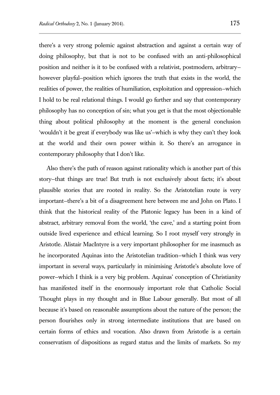there's a very strong polemic against abstraction and against a certain way of doing philosophy, but that is not to be confused with an anti-philosophical position and neither is it to be confused with a relativist, postmodern, arbitrary however playful—position which ignores the truth that exists in the world, the realities of power, the realities of humiliation, exploitation and oppression—which I hold to be real relational things. I would go further and say that contemporary philosophy has no conception of sin; what you get is that the most objectionable thing about political philosophy at the moment is the general conclusion 'wouldn't it be great if everybody was like us'—which is why they can't they look at the world and their own power within it. So there's an arrogance in contemporary philosophy that I don't like.

Also there's the path of reason against rationality which is another part of this story—that things are true! But truth is not exclusively about facts; it's about plausible stories that are rooted in reality. So the Aristotelian route is very important—there's a bit of a disagreement here between me and John on Plato. I think that the historical reality of the Platonic legacy has been in a kind of abstract, arbitrary removal from the world, 'the cave,' and a starting point from outside lived experience and ethical learning. So I root myself very strongly in Aristotle. Alistair MacIntyre is a very important philosopher for me inasmuch as he incorporated Aquinas into the Aristotelian tradition—which I think was very important in several ways, particularly in minimising Aristotle's absolute love of power—which I think is a very big problem. Aquinas' conception of Christianity has manifested itself in the enormously important role that Catholic Social Thought plays in my thought and in Blue Labour generally. But most of all because it's based on reasonable assumptions about the nature of the person; the person flourishes only in strong intermediate institutions that are based on certain forms of ethics and vocation. Also drawn from Aristotle is a certain conservatism of dispositions as regard status and the limits of markets. So my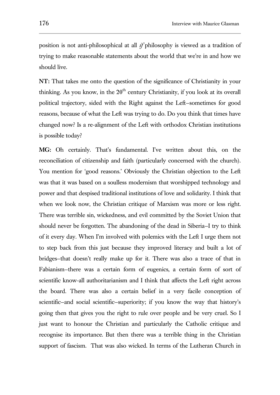position is not anti-philosophical at all *if* philosophy is viewed as a tradition of trying to make reasonable statements about the world that we're in and how we should live.

**NT:** That takes me onto the question of the significance of Christianity in your thinking. As you know, in the  $20<sup>th</sup>$  century Christianity, if you look at its overall political trajectory, sided with the Right against the Left—sometimes for good reasons, because of what the Left was trying to do. Do you think that times have changed now? Is a re-alignment of the Left with orthodox Christian institutions is possible today?

**MG:** Oh certainly. That's fundamental. I've written about this, on the reconciliation of citizenship and faith (particularly concerned with the church). You mention for 'good reasons.' Obviously the Christian objection to the Left was that it was based on a soulless modernism that worshipped technology and power and that despised traditional institutions of love and solidarity. I think that when we look now, the Christian critique of Marxism was more or less right. There was terrible sin, wickedness, and evil committed by the Soviet Union that should never be forgotten. The abandoning of the dead in Siberia—I try to think of it every day. When I'm involved with polemics with the Left I urge them not to step back from this just because they improved literacy and built a lot of bridges—that doesn't really make up for it. There was also a trace of that in Fabianism—there was a certain form of eugenics, a certain form of sort of scientific know-all authoritarianism and I think that affects the Left right across the board. There was also a certain belief in a very facile conception of scientific—and social scientific—superiority; if you know the way that history's going then that gives you the right to rule over people and be very cruel. So I just want to honour the Christian and particularly the Catholic critique and recognise its importance. But then there was a terrible thing in the Christian support of fascism. That was also wicked. In terms of the Lutheran Church in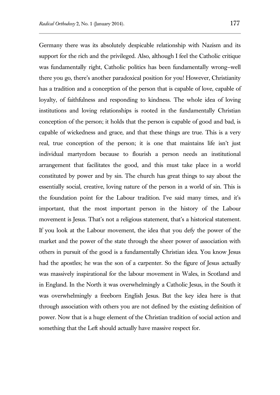Germany there was its absolutely despicable relationship with Nazism and its support for the rich and the privileged. Also, although I feel the Catholic critique was fundamentally right, Catholic politics has been fundamentally wrong—well there you go, there's another paradoxical position for you! However, Christianity has a tradition and a conception of the person that is capable of love, capable of loyalty, of faithfulness and responding to kindness. The whole idea of loving institutions and loving relationships is rooted in the fundamentally Christian conception of the person; it holds that the person is capable of good and bad, is capable of wickedness and grace, and that these things are true. This is a very real, true conception of the person; it is one that maintains life isn't just individual martyrdom because to flourish a person needs an institutional arrangement that facilitates the good, and this must take place in a world constituted by power and by sin. The church has great things to say about the essentially social, creative, loving nature of the person in a world of sin. This is the foundation point for the Labour tradition. I've said many times, and it's important, that the most important person in the history of the Labour movement is Jesus. That's not a religious statement, that's a historical statement. If you look at the Labour movement, the idea that you defy the power of the market and the power of the state through the sheer power of association with others in pursuit of the good is a fundamentally Christian idea. You know Jesus had the apostles; he was the son of a carpenter. So the figure of Jesus actually was massively inspirational for the labour movement in Wales, in Scotland and in England. In the North it was overwhelmingly a Catholic Jesus, in the South it was overwhelmingly a freeborn English Jesus. But the key idea here is that through association with others you are not defined by the existing definition of power. Now that is a huge element of the Christian tradition of social action and something that the Left should actually have massive respect for.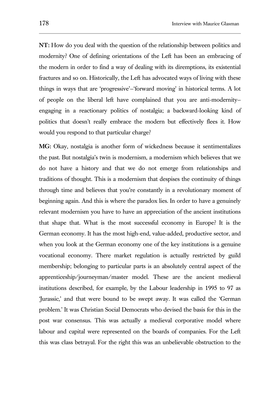**NT:** How do you deal with the question of the relationship between politics and modernity? One of defining orientations of the Left has been an embracing of the modern in order to find a way of dealing with its diremptions, its existential fractures and so on. Historically, the Left has advocated ways of living with these things in ways that are 'progressive'—'forward moving' in historical terms. A lot of people on the liberal left have complained that you are anti-modernity engaging in a reactionary politics of nostalgia; a backward-looking kind of politics that doesn't really embrace the modern but effectively flees it. How would you respond to that particular charge?

**MG:** Okay, nostalgia is another form of wickedness because it sentimentalizes the past. But nostalgia's twin is modernism, a modernism which believes that we do not have a history and that we do not emerge from relationships and traditions of thought. This is a modernism that despises the continuity of things through time and believes that you're constantly in a revolutionary moment of beginning again. And this is where the paradox lies. In order to have a genuinely relevant modernism you have to have an appreciation of the ancient institutions that shape that. What is the most successful economy in Europe? It is the German economy. It has the most high-end, value-added, productive sector, and when you look at the German economy one of the key institutions is a genuine vocational economy. There market regulation is actually restricted by guild membership; belonging to particular parts is an absolutely central aspect of the apprenticeship/journeyman/master model. These are the ancient medieval institutions described, for example, by the Labour leadership in 1995 to 97 as 'Jurassic,' and that were bound to be swept away. It was called the 'German problem.' It was Christian Social Democrats who devised the basis for this in the post war consensus. This was actually a medieval corporative model where labour and capital were represented on the boards of companies. For the Left this was class betrayal. For the right this was an unbelievable obstruction to the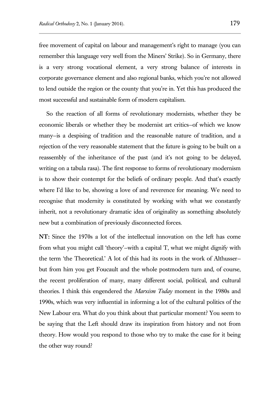free movement of capital on labour and management's right to manage (you can remember this language very well from the Miners' Strike). So in Germany, there is a very strong vocational element, a very strong balance of interests in corporate governance element and also regional banks, which you're not allowed to lend outside the region or the county that you're in. Yet this has produced the most successful and sustainable form of modern capitalism.

So the reaction of all forms of revolutionary modernists, whether they be economic liberals or whether they be modernist art critics—of which we know many—is a despising of tradition and the reasonable nature of tradition, and a rejection of the very reasonable statement that the future is going to be built on a reassembly of the inheritance of the past (and it's not going to be delayed, writing on a tabula rasa). The first response to forms of revolutionary modernism is to show their contempt for the beliefs of ordinary people. And that's exactly where I'd like to be, showing a love of and reverence for meaning. We need to recognise that modernity is constituted by working with what we constantly inherit, not a revolutionary dramatic idea of originality as something absolutely new but a combination of previously disconnected forces.

**NT:** Since the 1970s a lot of the intellectual innovation on the left has come from what you might call 'theory'—with a capital T, what we might dignify with the term 'the Theoretical.' A lot of this had its roots in the work of Althusser but from him you get Foucault and the whole postmodern turn and, of course, the recent proliferation of many, many different social, political, and cultural theories. I think this engendered the *Marxism Today* moment in the 1980s and 1990s, which was very influential in informing a lot of the cultural politics of the New Labour era. What do you think about that particular moment? You seem to be saying that the Left should draw its inspiration from history and not from theory. How would you respond to those who try to make the case for it being the other way round?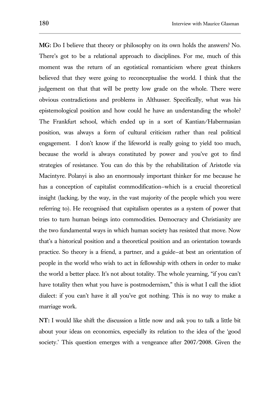**MG:** Do I believe that theory or philosophy on its own holds the answers? No. There's got to be a relational approach to disciplines. For me, much of this moment was the return of an egotistical romanticism where great thinkers believed that they were going to reconceptualise the world. I think that the judgement on that that will be pretty low grade on the whole. There were obvious contradictions and problems in Althusser. Specifically, what was his epistemological position and how could he have an understanding the whole? The Frankfurt school, which ended up in a sort of Kantian/Habermasian position, was always a form of cultural criticism rather than real political engagement. I don't know if the lifeworld is really going to yield too much, because the world is always constituted by power and you've got to find strategies of resistance. You can do this by the rehabilitation of Aristotle via Macintyre. Polanyi is also an enormously important thinker for me because he has a conception of capitalist commodification—which is a crucial theoretical insight (lacking, by the way, in the vast majority of the people which you were referring to). He recognised that capitalism operates as a system of power that tries to turn human beings into commodities. Democracy and Christianity are the two fundamental ways in which human society has resisted that move. Now that's a historical position and a theoretical position and an orientation towards practice. So theory is a friend, a partner, and a guide—at best an orientation of people in the world who wish to act in fellowship with others in order to make the world a better place. It's not about totality. The whole yearning, "if you can't have totality then what you have is postmodernism," this is what I call the idiot dialect: if you can't have it all you've got nothing. This is no way to make a marriage work.

**NT:** I would like shift the discussion a little now and ask you to talk a little bit about your ideas on economics, especially its relation to the idea of the 'good society.' This question emerges with a vengeance after 2007/2008. Given the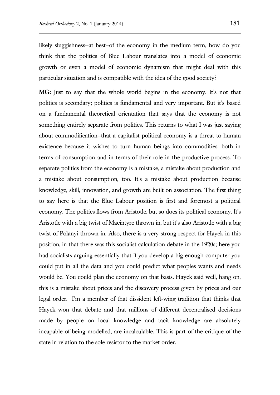likely sluggishness—at best—of the economy in the medium term, how do you think that the politics of Blue Labour translates into a model of economic growth or even a model of economic dynamism that might deal with this particular situation and is compatible with the idea of the good society?

**MG:** Just to say that the whole world begins in the economy. It's not that politics is secondary; politics is fundamental and very important. But it's based on a fundamental theoretical orientation that says that the economy is not something entirely separate from politics. This returns to what I was just saying about commodification—that a capitalist political economy is a threat to human existence because it wishes to turn human beings into commodities, both in terms of consumption and in terms of their role in the productive process. To separate politics from the economy is a mistake, a mistake about production and a mistake about consumption, too. It's a mistake about production because knowledge, skill, innovation, and growth are built on association. The first thing to say here is that the Blue Labour position is first and foremost a political economy. The politics flows from Aristotle, but so does its political economy. It's Aristotle with a big twist of Macintyre thrown in, but it's also Aristotle with a big twist of Polanyi thrown in. Also, there is a very strong respect for Hayek in this position, in that there was this socialist calculation debate in the 1920s; here you had socialists arguing essentially that if you develop a big enough computer you could put in all the data and you could predict what peoples wants and needs would be. You could plan the economy on that basis. Hayek said well, hang on, this is a mistake about prices and the discovery process given by prices and our legal order. I'm a member of that dissident left-wing tradition that thinks that Hayek won that debate and that millions of different decentralised decisions made by people on local knowledge and tacit knowledge are absolutely incapable of being modelled, are incalculable. This is part of the critique of the state in relation to the sole resistor to the market order.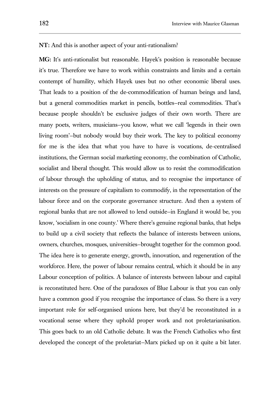## **NT:** And this is another aspect of your anti-rationalism?

**MG:** It's anti-rationalist but reasonable. Hayek's position is reasonable because it's true. Therefore we have to work within constraints and limits and a certain contempt of humility, which Hayek uses but no other economic liberal uses. That leads to a position of the de-commodification of human beings and land, but a general commodities market in pencils, bottles—real commodities. That's because people shouldn't be exclusive judges of their own worth. There are many poets, writers, musicians—you know, what we call 'legends in their own living room'—but nobody would buy their work. The key to political economy for me is the idea that what you have to have is vocations, de-centralised institutions, the German social marketing economy, the combination of Catholic, socialist and liberal thought. This would allow us to resist the commodification of labour through the upholding of status, and to recognise the importance of interests on the pressure of capitalism to commodify, in the representation of the labour force and on the corporate governance structure. And then a system of regional banks that are not allowed to lend outside—in England it would be, you know, 'socialism in one county.' Where there's genuine regional banks, that helps to build up a civil society that reflects the balance of interests between unions, owners, churches, mosques, universities—brought together for the common good. The idea here is to generate energy, growth, innovation, and regeneration of the workforce. Here, the power of labour remains central, which it should be in any Labour conception of politics. A balance of interests between labour and capital is reconstituted here. One of the paradoxes of Blue Labour is that you can only have a common good if you recognise the importance of class. So there is a very important role for self-organised unions here, but they'd be reconstituted in a vocational sense where they uphold proper work and not proletarianisation. This goes back to an old Catholic debate. It was the French Catholics who first developed the concept of the proletariat—Marx picked up on it quite a bit later.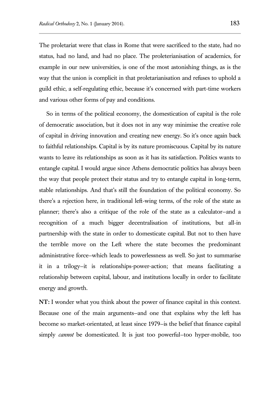The proletariat were that class in Rome that were sacrificed to the state, had no status, had no land, and had no place. The proleterianisation of academics, for example in our new universities, is one of the most astonishing things, as is the way that the union is complicit in that proletarianisation and refuses to uphold a guild ethic, a self-regulating ethic, because it's concerned with part-time workers and various other forms of pay and conditions.

So in terms of the political economy, the domestication of capital is the role of democratic association, but it does not in any way minimise the creative role of capital in driving innovation and creating new energy. So it's once again back to faithful relationships. Capital is by its nature promiscuous. Capital by its nature wants to leave its relationships as soon as it has its satisfaction. Politics wants to entangle capital. I would argue since Athens democratic politics has always been the way that people protect their status and try to entangle capital in long-term, stable relationships. And that's still the foundation of the political economy. So there's a rejection here, in traditional left-wing terms, of the role of the state as planner; there's also a critique of the role of the state as a calculator—and a recognition of a much bigger decentralisation of institutions, but all-in partnership with the state in order to domesticate capital. But not to then have the terrible move on the Left where the state becomes the predominant administrative force—which leads to powerlessness as well. So just to summarise it in a trilogy—it is relationships-power-action; that means facilitating a relationship between capital, labour, and institutions locally in order to facilitate energy and growth.

**NT:** I wonder what you think about the power of finance capital in this context. Because one of the main arguments—and one that explains why the left has become so market-orientated, at least since 1979—is the belief that finance capital simply *cannot* be domesticated. It is just too powerful—too hyper-mobile, too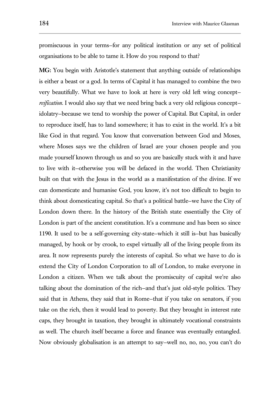promiscuous in your terms—for any political institution or any set of political organisations to be able to tame it. How do you respond to that?

**MG:** You begin with Aristotle's statement that anything outside of relationships is either a beast or a god. In terms of Capital it has managed to combine the two very beautifully. What we have to look at here is very old left wing concept *reification*. I would also say that we need bring back a very old religious concept idolatry—because we tend to worship the power of Capital. But Capital, in order to reproduce itself, has to land somewhere; it has to exist in the world. It's a bit like God in that regard. You know that conversation between God and Moses, where Moses says we the children of Israel are your chosen people and you made yourself known through us and so you are basically stuck with it and have to live with it—otherwise you will be defaced in the world. Then Christianity built on that with the Jesus in the world as a manifestation of the divine. If we can domesticate and humanise God, you know, it's not too difficult to begin to think about domesticating capital. So that's a political battle—we have the City of London down there. In the history of the British state essentially the City of London is part of the ancient constitution. It's a commune and has been so since 1190. It used to be a self-governing city-state—which it still is—but has basically managed, by hook or by crook, to expel virtually all of the living people from its area. It now represents purely the interests of capital. So what we have to do is extend the City of London Corporation to all of London, to make everyone in London a citizen. When we talk about the promiscuity of capital we're also talking about the domination of the rich—and that's just old-style politics. They said that in Athens, they said that in Rome—that if you take on senators, if you take on the rich, then it would lead to poverty. But they brought in interest rate caps, they brought in taxation, they brought in ultimately vocational constraints as well. The church itself became a force and finance was eventually entangled. Now obviously globalisation is an attempt to say—well no, no, no, you can't do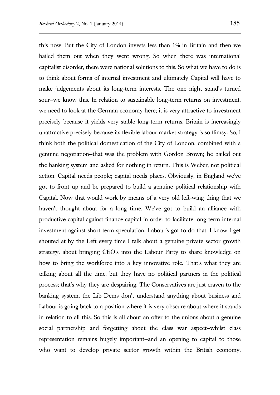this now. But the City of London invests less than 1% in Britain and then we bailed them out when they went wrong. So when there was international capitalist disorder, there were national solutions to this. So what we have to do is to think about forms of internal investment and ultimately Capital will have to make judgements about its long-term interests. The one night stand's turned sour—we know this. In relation to sustainable long-term returns on investment, we need to look at the German economy here; it is very attractive to investment precisely because it yields very stable long-term returns. Britain is increasingly unattractive precisely because its flexible labour market strategy is so flimsy. So, I think both the political domestication of the City of London, combined with a genuine negotiation—that was the problem with Gordon Brown; he bailed out the banking system and asked for nothing in return. This is Weber, not political action. Capital needs people; capital needs places. Obviously, in England we've got to front up and be prepared to build a genuine political relationship with Capital. Now that would work by means of a very old left-wing thing that we haven't thought about for a long time. We've got to build an alliance with productive capital against finance capital in order to facilitate long-term internal investment against short-term speculation. Labour's got to do that. I know I get shouted at by the Left every time I talk about a genuine private sector growth strategy, about bringing CEO's into the Labour Party to share knowledge on how to bring the workforce into a key innovative role. That's what they are talking about all the time, but they have no political partners in the political process; that's why they are despairing. The Conservatives are just craven to the banking system, the Lib Dems don't understand anything about business and Labour is going back to a position where it is very obscure about where it stands in relation to all this. So this is all about an offer to the unions about a genuine social partnership and forgetting about the class war aspect—whilst class representation remains hugely important—and an opening to capital to those who want to develop private sector growth within the British economy,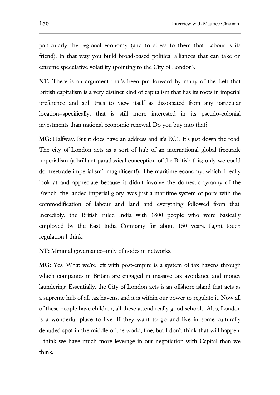particularly the regional economy (and to stress to them that Labour is its friend). In that way you build broad-based political alliances that can take on extreme speculative volatility (pointing to the City of London).

**NT:** There is an argument that's been put forward by many of the Left that British capitalism is a very distinct kind of capitalism that has its roots in imperial preference and still tries to view itself as dissociated from any particular location—specifically, that is still more interested in its pseudo-colonial investments than national economic renewal. Do you buy into that?

**MG:** Halfway. But it does have an address and it's EC1. It's just down the road. The city of London acts as a sort of hub of an international global freetrade imperialism (a brilliant paradoxical conception of the British this; only we could do 'freetrade imperialism'—magnificent!). The maritime economy, which I really look at and appreciate because it didn't involve the domestic tyranny of the French—the landed imperial glory—was just a maritime system of ports with the commodification of labour and land and everything followed from that. Incredibly, the British ruled India with 1800 people who were basically employed by the East India Company for about 150 years. Light touch regulation I think!

**NT:** Minimal governance—only of nodes in networks.

**MG:** Yes. What we're left with post-empire is a system of tax havens through which companies in Britain are engaged in massive tax avoidance and money laundering. Essentially, the City of London acts is an offshore island that acts as a supreme hub of all tax havens, and it is within our power to regulate it. Now all of these people have children, all these attend really good schools. Also, London is a wonderful place to live. If they want to go and live in some culturally denuded spot in the middle of the world, fine, but I don't think that will happen. I think we have much more leverage in our negotiation with Capital than we think.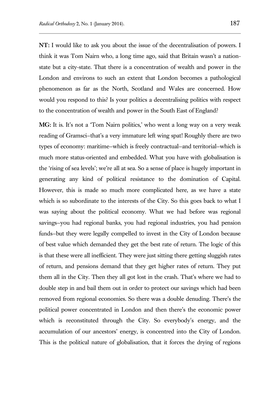**NT:** I would like to ask you about the issue of the decentralisation of powers. I think it was Tom Nairn who, a long time ago, said that Britain wasn't a nationstate but a city-state. That there is a concentration of wealth and power in the London and environs to such an extent that London becomes a pathological phenomenon as far as the North, Scotland and Wales are concerned. How would you respond to this? Is your politics a decentralising politics with respect to the concentration of wealth and power in the South East of England?

**MG:** It is. It's not a 'Tom Nairn politics,' who went a long way on a very weak reading of Gramsci—that's a very immature left wing spat! Roughly there are two types of economy: maritime—which is freely contractual—and territorial—which is much more status-oriented and embedded. What you have with globalisation is the 'rising of sea levels'; we're all at sea. So a sense of place is hugely important in generating any kind of political resistance to the domination of Capital. However, this is made so much more complicated here, as we have a state which is so subordinate to the interests of the City. So this goes back to what I was saying about the political economy. What we had before was regional savings—you had regional banks, you had regional industries, you had pension funds—but they were legally compelled to invest in the City of London because of best value which demanded they get the best rate of return. The logic of this is that these were all inefficient. They were just sitting there getting sluggish rates of return, and pensions demand that they get higher rates of return. They put them all in the City. Then they all got lost in the crash. That's where we had to double step in and bail them out in order to protect our savings which had been removed from regional economies. So there was a double denuding. There's the political power concentrated in London and then there's the economic power which is reconstituted through the City. So everybody's energy, and the accumulation of our ancestors' energy, is concentred into the City of London. This is the political nature of globalisation, that it forces the drying of regions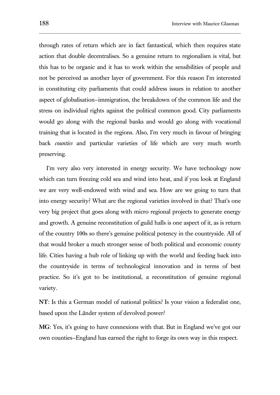through rates of return which are in fact fantastical, which then requires state action that double decentralises. So a genuine return to regionalism is vital, but this has to be organic and it has to work within the sensibilities of people and not be perceived as another layer of government. For this reason I'm interested in constituting city parliaments that could address issues in relation to another aspect of globalisation—immigration, the breakdown of the common life and the stress on individual rights against the political common good. City parliaments would go along with the regional banks and would go along with vocational training that is located in the regions. Also, I'm very much in favour of bringing back *counties* and particular varieties of life which are very much worth preserving.

I'm very also very interested in energy security. We have technology now which can turn freezing cold sea and wind into heat, and if you look at England we are very well-endowed with wind and sea. How are we going to turn that into energy security? What are the regional varieties involved in that? That's one very big project that goes along with micro regional projects to generate energy and growth. A genuine reconstitution of guild halls is one aspect of it, as is return of the country 100s so there's genuine political potency in the countryside. All of that would broker a much stronger sense of both political and economic county life. Cities having a hub role of linking up with the world and feeding back into the countryside in terms of technological innovation and in terms of best practice. So it's got to be institutional, a reconstitution of genuine regional variety.

**NT**: Is this a German model of national politics? Is your vision a federalist one, based upon the Länder system of devolved power?

**MG**: Yes, it's going to have connexions with that. But in England we've got our own counties—England has earned the right to forge its own way in this respect.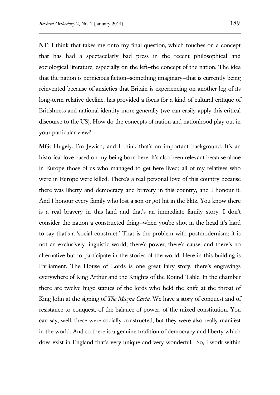**NT**: I think that takes me onto my final question, which touches on a concept that has had a spectacularly bad press in the recent philosophical and sociological literature, especially on the left—the concept of the nation. The idea that the nation is pernicious fiction—something imaginary—that is currently being reinvented because of anxieties that Britain is experiencing on another leg of its long-term relative decline, has provided a focus for a kind of cultural critique of Britishness and national identity more generally (we can easily apply this critical discourse to the US). How do the concepts of nation and nationhood play out in your particular view?

**MG**: Hugely. I'm Jewish, and I think that's an important background. It's an historical love based on my being born here. It's also been relevant because alone in Europe those of us who managed to get here lived; all of my relatives who were in Europe were killed. There's a real personal love of this country because there was liberty and democracy and bravery in this country, and I honour it. And I honour every family who lost a son or got hit in the blitz. You know there is a real bravery in this land and that's an immediate family story. I don't consider the nation a constructed thing—when you're shot in the head it's hard to say that's a 'social construct.' That is the problem with postmodernism; it is not an exclusively linguistic world; there's power, there's cause, and there's no alternative but to participate in the stories of the world. Here in this building is Parliament. The House of Lords is one great fairy story, there's engravings everywhere of King Arthur and the Knights of the Round Table. In the chamber there are twelve huge statues of the lords who held the knife at the throat of King John at the signing of *The Magna Carta*. We have a story of conquest and of resistance to conquest, of the balance of power, of the mixed constitution. You can say, well, these were socially constructed, but they were also really manifest in the world. And so there is a genuine tradition of democracy and liberty which does exist in England that's very unique and very wonderful. So, I work within